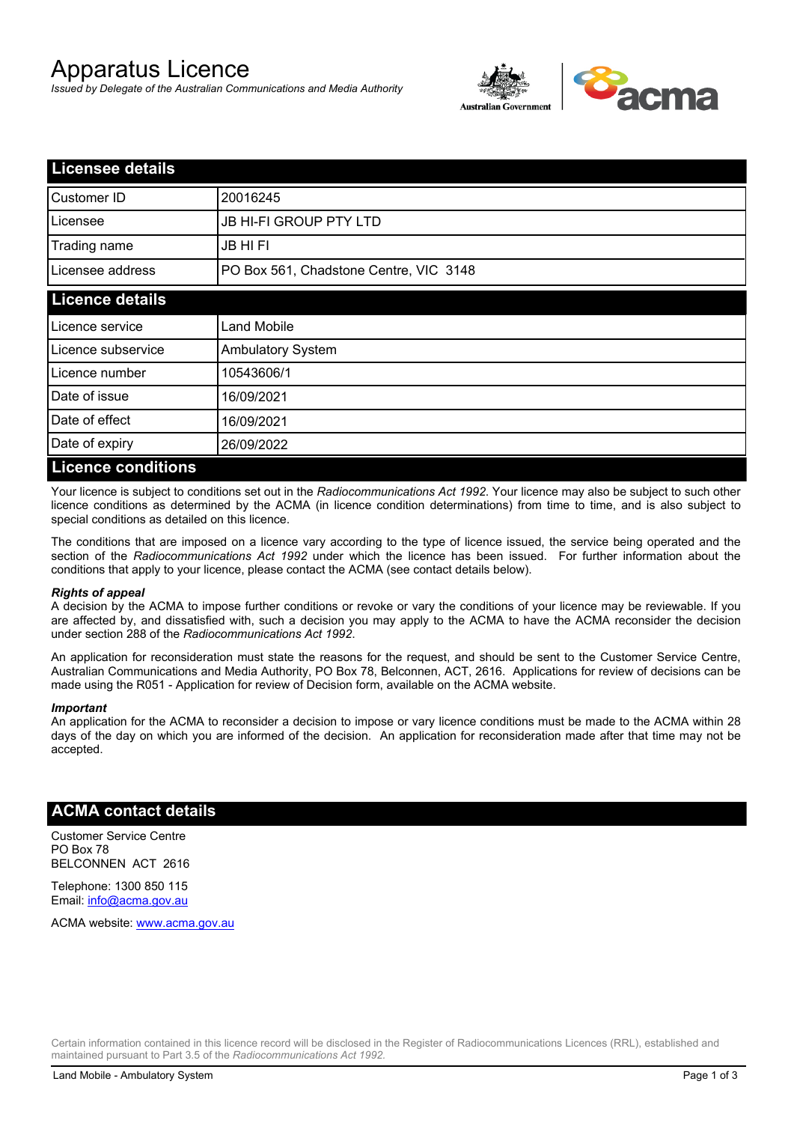# Apparatus Licence

*Issued by Delegate of the Australian Communications and Media Authority*



| <b>Licensee details</b>   |                                        |  |
|---------------------------|----------------------------------------|--|
| Customer ID               | 20016245                               |  |
| Licensee                  | <b>JB HI-FI GROUP PTY LTD</b>          |  |
| Trading name              | <b>JB HIFI</b>                         |  |
| Licensee address          | PO Box 561, Chadstone Centre, VIC 3148 |  |
| <b>Licence details</b>    |                                        |  |
| Licence service           | <b>Land Mobile</b>                     |  |
| Licence subservice        | <b>Ambulatory System</b>               |  |
| Licence number            | 10543606/1                             |  |
| Date of issue             | 16/09/2021                             |  |
| Date of effect            | 16/09/2021                             |  |
| Date of expiry            | 26/09/2022                             |  |
| <b>Licence conditions</b> |                                        |  |

Your licence is subject to conditions set out in the *Radiocommunications Act 1992*. Your licence may also be subject to such other licence conditions as determined by the ACMA (in licence condition determinations) from time to time, and is also subject to special conditions as detailed on this licence.

The conditions that are imposed on a licence vary according to the type of licence issued, the service being operated and the section of the *Radiocommunications Act 1992* under which the licence has been issued. For further information about the conditions that apply to your licence, please contact the ACMA (see contact details below).

#### *Rights of appeal*

A decision by the ACMA to impose further conditions or revoke or vary the conditions of your licence may be reviewable. If you are affected by, and dissatisfied with, such a decision you may apply to the ACMA to have the ACMA reconsider the decision under section 288 of the *Radiocommunications Act 1992*.

An application for reconsideration must state the reasons for the request, and should be sent to the Customer Service Centre, Australian Communications and Media Authority, PO Box 78, Belconnen, ACT, 2616. Applications for review of decisions can be made using the R051 - Application for review of Decision form, available on the ACMA website.

#### *Important*

An application for the ACMA to reconsider a decision to impose or vary licence conditions must be made to the ACMA within 28 days of the day on which you are informed of the decision. An application for reconsideration made after that time may not be accepted.

### **ACMA contact details**

Customer Service Centre PO Box 78 BELCONNEN ACT 2616

Telephone: 1300 850 115 Email: info@acma.gov.au

ACMA website: www.acma.gov.au

Certain information contained in this licence record will be disclosed in the Register of Radiocommunications Licences (RRL), established and maintained pursuant to Part 3.5 of the *Radiocommunications Act 1992.*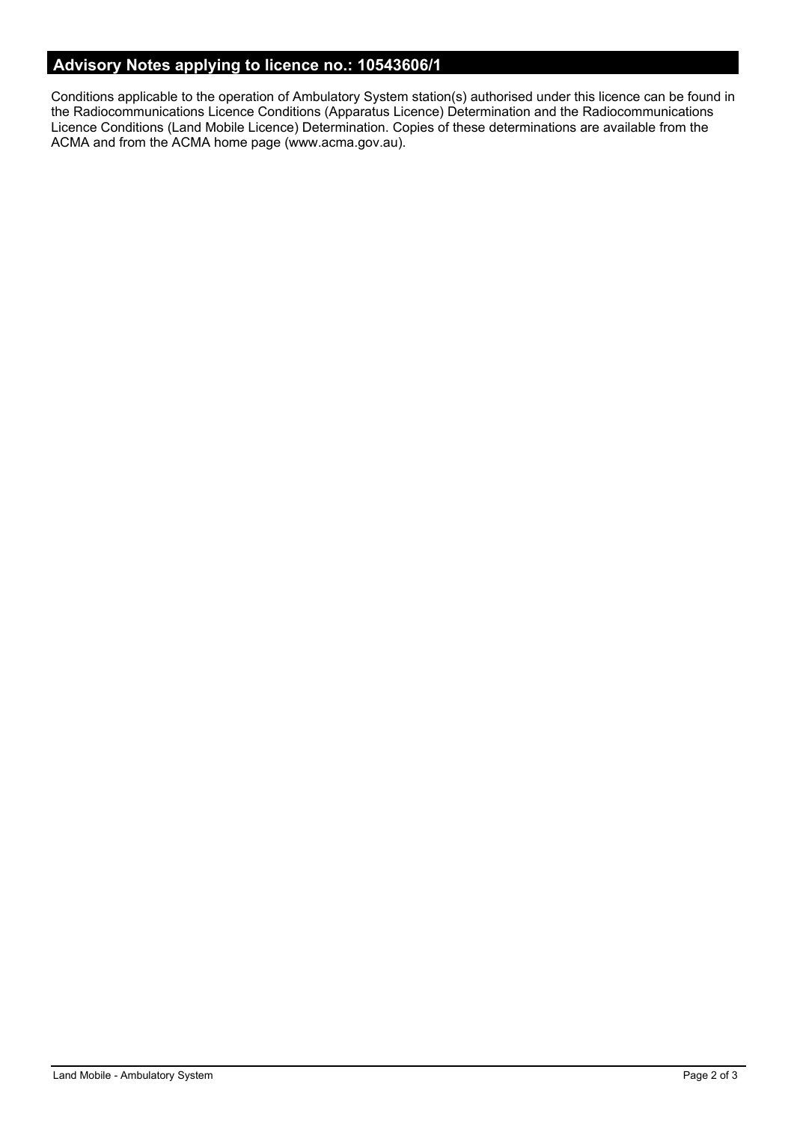# **Advisory Notes applying to licence no.: 10543606/1**

Conditions applicable to the operation of Ambulatory System station(s) authorised under this licence can be found in the Radiocommunications Licence Conditions (Apparatus Licence) Determination and the Radiocommunications Licence Conditions (Land Mobile Licence) Determination. Copies of these determinations are available from the ACMA and from the ACMA home page (www.acma.gov.au).